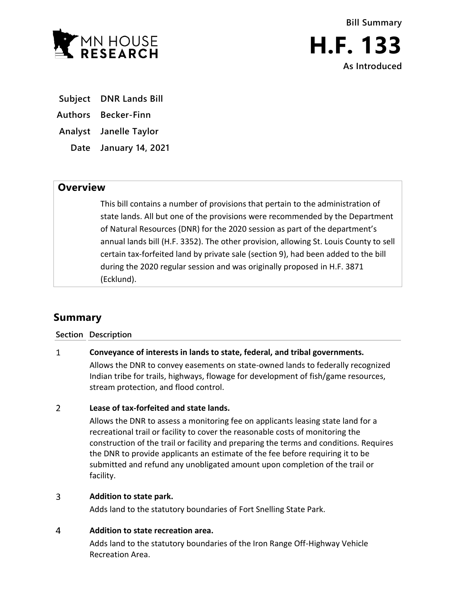

- **Subject DNR Lands Bill**
- **Authors Becker-Finn**
- **Analyst Janelle Taylor**
	- **Date January 14, 2021**

## **Overview**

This bill contains a number of provisions that pertain to the administration of state lands. All but one of the provisions were recommended by the Department of Natural Resources (DNR) for the 2020 session as part of the department's annual lands bill (H.F. 3352). The other provision, allowing St. Louis County to sell certain tax-forfeited land by private sale (section 9), had been added to the bill during the 2020 regular session and was originally proposed in H.F. 3871 (Ecklund).

# **Summary**

### **Section Description**

### $\mathbf{1}$ **Conveyance of interests in lands to state, federal, and tribal governments.**

Allows the DNR to convey easements on state-owned lands to federally recognized Indian tribe for trails, highways, flowage for development of fish/game resources, stream protection, and flood control.

### $\overline{2}$ **Lease of tax-forfeited and state lands.**

Allows the DNR to assess a monitoring fee on applicants leasing state land for a recreational trail or facility to cover the reasonable costs of monitoring the construction of the trail or facility and preparing the terms and conditions. Requires the DNR to provide applicants an estimate of the fee before requiring it to be submitted and refund any unobligated amount upon completion of the trail or facility.

### $\overline{3}$ **Addition to state park.**

Adds land to the statutory boundaries of Fort Snelling State Park.

### 4 **Addition to state recreation area.**

Adds land to the statutory boundaries of the Iron Range Off-Highway Vehicle Recreation Area.